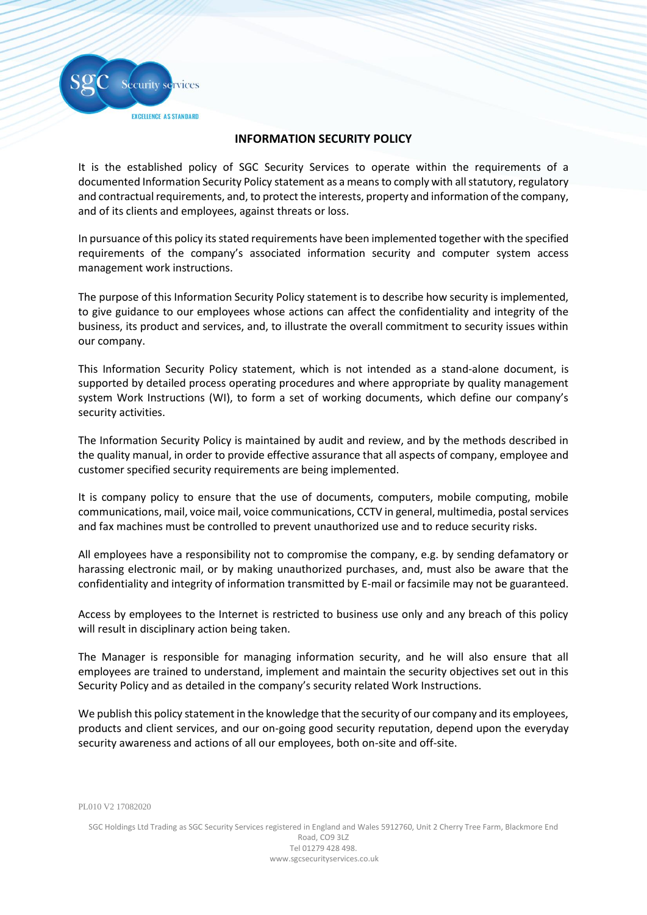**EXCELLENCE AS STANDARD** 

ecurity services

## **INFORMATION SECURITY POLICY**

It is the established policy of SGC Security Services to operate within the requirements of a documented Information Security Policy statement as a means to comply with all statutory, regulatory and contractual requirements, and, to protect the interests, property and information of the company, and of its clients and employees, against threats or loss.

In pursuance of this policy its stated requirements have been implemented together with the specified requirements of the company's associated information security and computer system access management work instructions.

The purpose of this Information Security Policy statement is to describe how security is implemented, to give guidance to our employees whose actions can affect the confidentiality and integrity of the business, its product and services, and, to illustrate the overall commitment to security issues within our company.

This Information Security Policy statement, which is not intended as a stand-alone document, is supported by detailed process operating procedures and where appropriate by quality management system Work Instructions (WI), to form a set of working documents, which define our company's security activities.

The Information Security Policy is maintained by audit and review, and by the methods described in the quality manual, in order to provide effective assurance that all aspects of company, employee and customer specified security requirements are being implemented.

It is company policy to ensure that the use of documents, computers, mobile computing, mobile communications, mail, voice mail, voice communications, CCTV in general, multimedia, postal services and fax machines must be controlled to prevent unauthorized use and to reduce security risks.

All employees have a responsibility not to compromise the company, e.g. by sending defamatory or harassing electronic mail, or by making unauthorized purchases, and, must also be aware that the confidentiality and integrity of information transmitted by E-mail or facsimile may not be guaranteed.

Access by employees to the Internet is restricted to business use only and any breach of this policy will result in disciplinary action being taken.

The Manager is responsible for managing information security, and he will also ensure that all employees are trained to understand, implement and maintain the security objectives set out in this Security Policy and as detailed in the company's security related Work Instructions.

We publish this policy statement in the knowledge that the security of our company and its employees, products and client services, and our on-going good security reputation, depend upon the everyday security awareness and actions of all our employees, both on-site and off-site.

PL010 V2 17082020

SGC Holdings Ltd Trading as SGC Security Services registered in England and Wales 5912760, Unit 2 Cherry Tree Farm, Blackmore End

Road, CO9 3LZ Tel 01279 428 498. www.sgcsecurityservices.co.uk